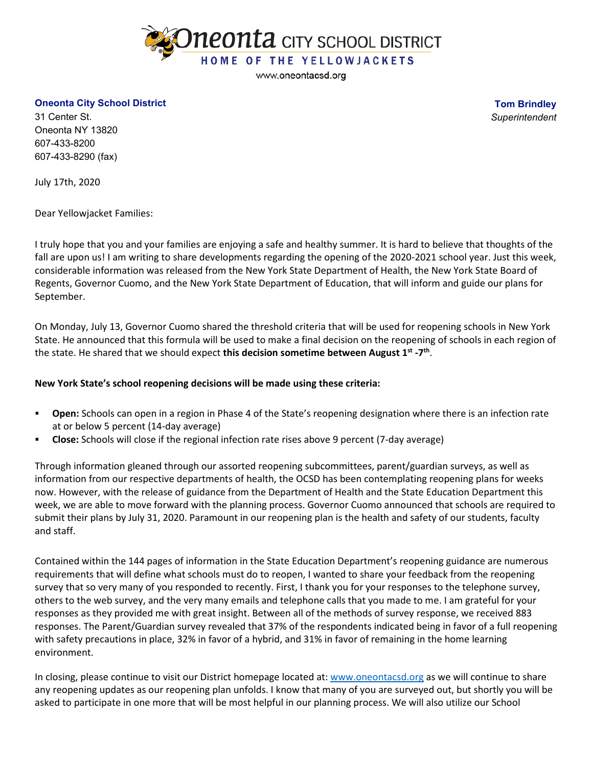

www.oneontacsd.org

## **Oneonta City School District**

**Tom Brindley** *Superintendent*

31 Center St. Oneonta NY 13820 607-433-8200 607-433-8290 (fax)

July 17th, 2020

Dear Yellowjacket Families:

I truly hope that you and your families are enjoying a safe and healthy summer. It is hard to believe that thoughts of the fall are upon us! I am writing to share developments regarding the opening of the 2020-2021 school year. Just this week, considerable information was released from the New York State Department of Health, the New York State Board of Regents, Governor Cuomo, and the New York State Department of Education, that will inform and guide our plans for September.

On Monday, July 13, Governor Cuomo shared the threshold criteria that will be used for reopening schools in New York State. He announced that this formula will be used to make a final decision on the reopening of schools in each region of the state. He shared that we should expect **this decision sometime between August 1st -7th**.

## **New York State's school reopening decisions will be made using these criteria:**

- **Open:** Schools can open in a region in Phase 4 of the State's reopening designation where there is an infection rate at or below 5 percent (14-day average)
- **Close:** Schools will close if the regional infection rate rises above 9 percent (7-day average)

Through information gleaned through our assorted reopening subcommittees, parent/guardian surveys, as well as information from our respective departments of health, the OCSD has been contemplating reopening plans for weeks now. However, with the release of guidance from the Department of Health and the State Education Department this week, we are able to move forward with the planning process. Governor Cuomo announced that schools are required to submit their plans by July 31, 2020. Paramount in our reopening plan is the health and safety of our students, faculty and staff.

Contained within the 144 pages of information in the State Education Department's reopening guidance are numerous requirements that will define what schools must do to reopen, I wanted to share your feedback from the reopening survey that so very many of you responded to recently. First, I thank you for your responses to the telephone survey, others to the web survey, and the very many emails and telephone calls that you made to me. I am grateful for your responses as they provided me with great insight. Between all of the methods of survey response, we received 883 responses. The Parent/Guardian survey revealed that 37% of the respondents indicated being in favor of a full reopening with safety precautions in place, 32% in favor of a hybrid, and 31% in favor of remaining in the home learning environment.

In closing, please continue to visit our District homepage located at: [www.oneontacsd.org](http://www.oneontacsd.org/) as we will continue to share any reopening updates as our reopening plan unfolds. I know that many of you are surveyed out, but shortly you will be asked to participate in one more that will be most helpful in our planning process. We will also utilize our School